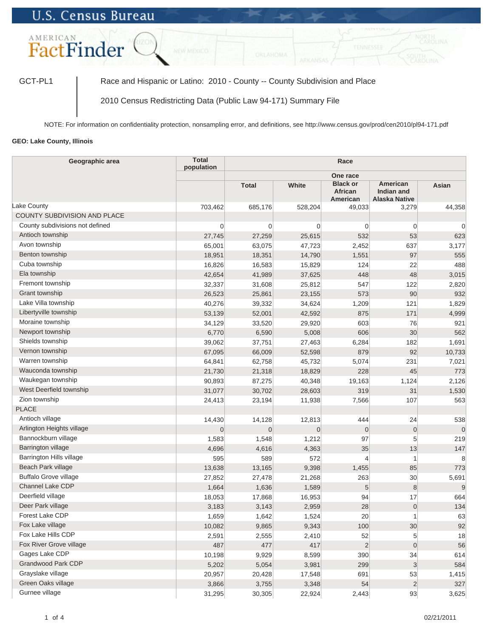## **U.S. Census Bureau**



GCT-PL1 | Race and Hispanic or Latino: 2010 - County -- County Subdivision and Place

2010 Census Redistricting Data (Public Law 94-171) Summary File

NOTE: For information on confidentiality protection, nonsampling error, and definitions, see http://www.census.gov/prod/cen2010/pl94-171.pdf

## **GEO: Lake County, Illinois**

| Geographic area                 | <b>Total</b><br>population |                |                |                                        |                                                |          |
|---------------------------------|----------------------------|----------------|----------------|----------------------------------------|------------------------------------------------|----------|
|                                 |                            |                |                |                                        |                                                |          |
|                                 |                            | <b>Total</b>   | White          | <b>Black or</b><br>African<br>American | American<br>Indian and<br><b>Alaska Native</b> | Asian    |
| Lake County                     | 703,462                    | 685,176        | 528,204        | 49,033                                 | 3,279                                          | 44,358   |
| COUNTY SUBDIVISION AND PLACE    |                            |                |                |                                        |                                                |          |
| County subdivisions not defined | $\overline{0}$             | $\mathbf 0$    | $\overline{0}$ | $\overline{0}$                         | 0                                              | $\Omega$ |
| Antioch township                | 27,745                     | 27,259         | 25,615         | 532                                    | 53                                             | 623      |
| Avon township                   | 65,001                     | 63,075         | 47,723         | 2,452                                  | 637                                            | 3,177    |
| Benton township                 | 18,951                     | 18,351         | 14,790         | 1,551                                  | 97                                             | 555      |
| Cuba township                   | 16,826                     | 16,583         | 15,829         | 124                                    | 22                                             | 488      |
| Ela township                    | 42,654                     | 41,989         | 37,625         | 448                                    | 48                                             | 3,015    |
| Fremont township                | 32,337                     | 31,608         | 25,812         | 547                                    | 122                                            | 2,820    |
| Grant township                  | 26,523                     | 25,861         | 23,155         | 573                                    | 90                                             | 932      |
| Lake Villa township             | 40,276                     | 39,332         | 34,624         | 1,209                                  | 121                                            | 1,829    |
| Libertyville township           | 53,139                     | 52,001         | 42,592         | 875                                    | 171                                            | 4,999    |
| Moraine township                | 34,129                     | 33,520         | 29,920         | 603                                    | 76                                             | 921      |
| Newport township                | 6,770                      | 6,590          | 5,008          | 606                                    | 30                                             | 562      |
| Shields township                | 39,062                     | 37,751         | 27,463         | 6,284                                  | 182                                            | 1,691    |
| Vernon township                 | 67,095                     | 66,009         | 52,598         | 879                                    | 92                                             | 10,733   |
| Warren township                 | 64,841                     | 62,758         | 45,732         | 5,074                                  | 231                                            | 7,021    |
| Wauconda township               | 21,730                     | 21,318         | 18,829         | 228                                    | 45                                             | 773      |
| Waukegan township               | 90,893                     | 87,275         | 40,348         | 19,163                                 | 1,124                                          | 2,126    |
| West Deerfield township         | 31,077                     | 30,702         | 28,603         | 319                                    | 31                                             | 1,530    |
| Zion township                   | 24,413                     | 23,194         | 11,938         | 7,566                                  | 107                                            | 563      |
| <b>PLACE</b>                    |                            |                |                |                                        |                                                |          |
| Antioch village                 | 14,430                     | 14,128         | 12,813         | 444                                    | 24                                             | 538      |
| Arlington Heights village       | $\Omega$                   | $\overline{0}$ | $\overline{0}$ | $\mathbf{0}$                           | $\overline{0}$                                 | $\Omega$ |
| Bannockburn village             | 1,583                      | 1,548          | 1,212          | 97                                     | 5                                              | 219      |
| Barrington village              | 4,696                      | 4,616          | 4,363          | 35                                     | 13                                             | 147      |
| Barrington Hills village        | 595                        | 589            | 572            | $\overline{4}$                         | 1                                              | 8        |
| Beach Park village              | 13,638                     | 13,165         | 9,398          | 1,455                                  | 85                                             | 773      |
| <b>Buffalo Grove village</b>    | 27,852                     | 27,478         | 21,268         | 263                                    | 30                                             | 5,691    |
| Channel Lake CDP                | 1,664                      | 1,636          | 1,589          | $5\overline{)}$                        | $\boldsymbol{8}$                               | 9        |
| Deerfield village               | 18,053                     | 17,868         | 16,953         | 94                                     | 17                                             | 664      |
| Deer Park village               | 3,183                      | 3,143          | 2,959          | 28                                     | $\overline{0}$                                 | 134      |
| Forest Lake CDP                 | 1,659                      | 1,642          | 1,524          | 20                                     |                                                | 63       |
| Fox Lake village                | 10,082                     | 9,865          | 9,343          | 100                                    | 30 <sup>°</sup>                                | 92       |
| Fox Lake Hills CDP              | 2,591                      | 2,555          | 2,410          | 52                                     | 5                                              | 18       |
| Fox River Grove village         | 487                        | 477            | 417            | $\overline{2}$                         | $\overline{0}$                                 | 56       |
| Gages Lake CDP                  | 10,198                     | 9,929          | 8,599          | 390                                    | 34                                             | 614      |
| Grandwood Park CDP              | 5,202                      | 5,054          | 3,981          | 299                                    | 3                                              | 584      |
| Grayslake village               | 20,957                     | 20,428         | 17,548         | 691                                    | 53                                             | 1,415    |
| Green Oaks village              | 3,866                      | 3,755          | 3,348          | 54                                     | $\overline{2}$                                 | 327      |
| Gurnee village                  | 31,295                     | 30,305         | 22,924         | 2,443                                  | 93                                             | 3,625    |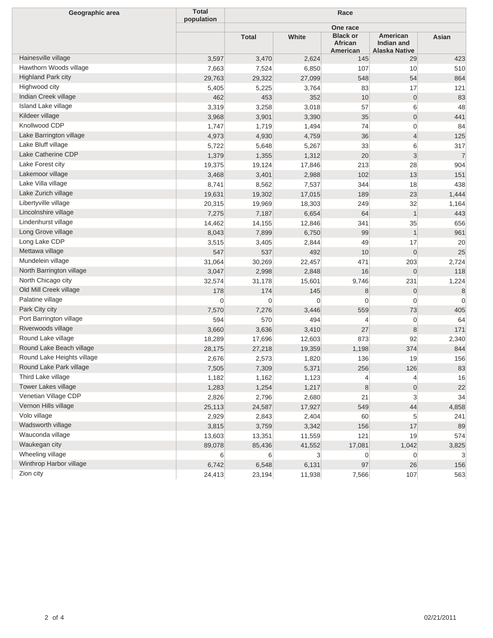| Geographic area            | <b>Total</b><br>population | Race         |        |                                        |                                                |                |  |
|----------------------------|----------------------------|--------------|--------|----------------------------------------|------------------------------------------------|----------------|--|
|                            |                            |              |        | One race                               |                                                |                |  |
|                            |                            | <b>Total</b> | White  | <b>Black or</b><br>African<br>American | American<br>Indian and<br><b>Alaska Native</b> | Asian          |  |
| Hainesville village        | 3,597                      | 3,470        | 2,624  | 145                                    | 29                                             | 423            |  |
| Hawthorn Woods village     | 7,663                      | 7,524        | 6,850  | 107                                    | 10                                             | 510            |  |
| Highland Park city         | 29,763                     | 29,322       | 27,099 | 548                                    | 54                                             | 864            |  |
| Highwood city              | 5,405                      | 5,225        | 3,764  | 83                                     | 17                                             | 121            |  |
| Indian Creek village       | 462                        | 453          | 352    | 10                                     | $\overline{0}$                                 | 83             |  |
| Island Lake village        | 3,319                      | 3,258        | 3,018  | 57                                     | $6 \,$                                         | 48             |  |
| Kildeer village            | 3,968                      | 3,901        | 3,390  | 35                                     | $\overline{0}$                                 | 441            |  |
| Knollwood CDP              | 1,747                      | 1,719        | 1,494  | 74                                     | $\overline{0}$                                 | 84             |  |
| Lake Barrington village    | 4,973                      | 4,930        | 4,759  | 36                                     | $\vert 4 \vert$                                | 125            |  |
| Lake Bluff village         | 5,722                      | 5,648        | 5,267  | 33                                     | $6 \,$                                         | 317            |  |
| Lake Catherine CDP         | 1,379                      | 1,355        | 1,312  | 20                                     | $\mathbf{3}$                                   | $\overline{7}$ |  |
| Lake Forest city           | 19,375                     | 19,124       | 17,846 | 213                                    | 28                                             | 904            |  |
| Lakemoor village           | 3,468                      | 3,401        | 2,988  | 102                                    | 13                                             | 151            |  |
| Lake Villa village         | 8,741                      | 8,562        | 7,537  | 344                                    | 18                                             | 438            |  |
| Lake Zurich village        | 19,631                     | 19,302       | 17,015 | 189                                    | 23                                             | 1,444          |  |
| Libertyville village       | 20,315                     | 19,969       | 18,303 | 249                                    | 32                                             | 1,164          |  |
| Lincolnshire village       | 7,275                      | 7,187        | 6,654  | 64                                     | $\mathbf{1}$                                   | 443            |  |
| Lindenhurst village        | 14,462                     | 14,155       | 12,846 | 341                                    | 35                                             | 656            |  |
| Long Grove village         | 8,043                      | 7,899        | 6,750  | 99                                     | $\mathbf{1}$                                   | 961            |  |
| Long Lake CDP              | 3,515                      | 3,405        | 2,844  | 49                                     | 17                                             | 20             |  |
| Mettawa village            | 547                        | 537          | 492    | 10                                     | $\overline{0}$                                 | 25             |  |
| Mundelein village          | 31,064                     | 30,269       | 22,457 | 471                                    | 203                                            | 2,724          |  |
| North Barrington village   | 3,047                      | 2,998        | 2,848  | 16                                     | $\overline{0}$                                 | 118            |  |
| North Chicago city         | 32,574                     | 31,178       | 15,601 | 9,746                                  | 231                                            | 1,224          |  |
| Old Mill Creek village     | 178                        | 174          | 145    | 8                                      | $\overline{0}$                                 | 8              |  |
| Palatine village           | 0                          | 0            | 0      | $\mathbf 0$                            | $\overline{0}$                                 | $\Omega$       |  |
| Park City city             | 7,570                      | 7,276        | 3,446  | 559                                    | 73                                             | 405            |  |
| Port Barrington village    | 594                        | 570          | 494    | 4                                      | $\overline{0}$                                 | 64             |  |
| Riverwoods village         | 3,660                      | 3,636        | 3,410  | 27                                     | 8                                              | 171            |  |
| Round Lake village         | 18,289                     | 17,696       | 12,603 | 873                                    | 92                                             | 2,340          |  |
| Round Lake Beach village   | 28,175                     | 27,218       | 19,359 | 1,198                                  | 374                                            | 844            |  |
| Round Lake Heights village | 2,676                      | 2,573        | 1,820  | 136                                    | 19                                             | 156            |  |
| Round Lake Park village    | 7,505                      | 7,309        | 5,371  | 256                                    | 126                                            | 83             |  |
| Third Lake village         | 1,182                      | 1,162        | 1,123  | 4                                      | $\overline{4}$                                 | 16             |  |
| Tower Lakes village        | 1,283                      | 1,254        | 1,217  | 8                                      | $\overline{0}$                                 | 22             |  |
| Venetian Village CDP       | 2,826                      | 2,796        | 2,680  | 21                                     | $\mathbf{3}$                                   | 34             |  |
| Vernon Hills village       | 25,113                     | 24,587       | 17,927 | 549                                    | 44                                             | 4,858          |  |
| Volo village               | 2,929                      | 2,843        | 2,404  | 60                                     | 5                                              | 241            |  |
| Wadsworth village          | 3,815                      | 3,759        | 3,342  | 156                                    | 17                                             | 89             |  |
| Wauconda village           | 13,603                     | 13,351       | 11,559 | 121                                    | 19                                             | 574            |  |
| Waukegan city              | 89,078                     | 85,436       | 41,552 | 17,081                                 | 1,042                                          | 3,825          |  |
| Wheeling village           | 6                          | $6 \mid$     | 3      | 0                                      | $\overline{0}$                                 | 3              |  |
| Winthrop Harbor village    | 6,742                      | 6,548        | 6,131  | 97                                     | 26                                             | 156            |  |
| Zion city                  | 24,413                     | 23,194       | 11,938 | 7,566                                  | 107                                            | 563            |  |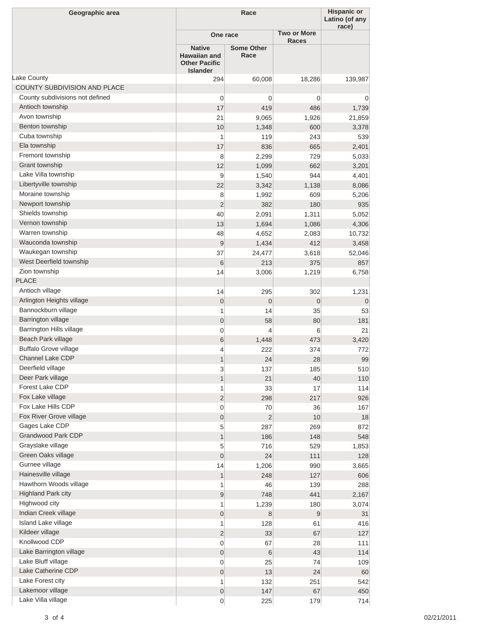| Geographic area                        |                                                                                 | Race                      |                    |                  |  |
|----------------------------------------|---------------------------------------------------------------------------------|---------------------------|--------------------|------------------|--|
|                                        | One race                                                                        |                           | <b>Two or More</b> | race)            |  |
|                                        | <b>Native</b><br><b>Hawaiian and</b><br><b>Other Pacific</b><br><b>Islander</b> | <b>Some Other</b><br>Race | <b>Races</b>       |                  |  |
| Lake County                            | 294                                                                             | 60,008                    | 18,286             | 139,987          |  |
| COUNTY SUBDIVISION AND PLACE           |                                                                                 |                           |                    |                  |  |
| County subdivisions not defined        | $\mathbf 0$                                                                     | 0                         | 0                  | 0                |  |
| Antioch township                       | 17                                                                              | 419                       | 486                | 1,739            |  |
| Avon township                          | 21                                                                              | 9,065                     | 1,926              | 21,859           |  |
| Benton township                        | 10                                                                              | 1,348                     | 600                | 3,378            |  |
| Cuba township                          | 1                                                                               | 119                       | 243                | 539              |  |
| Ela township                           | 17                                                                              | 836                       | 665                | 2,401            |  |
| Fremont township                       | 8                                                                               | 2,299                     | 729                | 5,033            |  |
| Grant township                         | 12                                                                              | 1,099                     | 662                | 3,201            |  |
| Lake Villa township                    | 9                                                                               | 1,540                     | 944                | 4,401            |  |
| Libertyville township                  | 22                                                                              | 3,342                     | 1,138              | 8,086            |  |
| Moraine township                       | 8                                                                               | 1,992                     | 609                | 5,206            |  |
| Newport township                       | $\overline{2}$                                                                  | 382                       | 180                | 935              |  |
| Shields township                       | 40                                                                              | 2,091                     | 1,311              | 5,052            |  |
| Vernon township                        | 13                                                                              | 1,694                     | 1,086              | 4,306            |  |
| Warren township                        | 48                                                                              | 4,652                     | 2,083              | 10,732           |  |
| Wauconda township                      | $\overline{9}$                                                                  | 1,434                     | 412                | 3,458            |  |
| Waukegan township                      | 37                                                                              | 24,477                    | 3,618              | 52,046           |  |
| West Deerfield township                | 6                                                                               | 213                       | 375                | 857              |  |
| Zion township                          | 14                                                                              | 3,006                     | 1,219              | 6,758            |  |
| <b>PLACE</b>                           |                                                                                 |                           |                    |                  |  |
| Antioch village                        | 14                                                                              | 295                       | 302                | 1,231            |  |
| Arlington Heights village              | $\boldsymbol{0}$                                                                | $\overline{0}$            | $\overline{0}$     | $\overline{0}$   |  |
| Bannockburn village                    | 1                                                                               | 14                        | 35                 | 53               |  |
| Barrington village                     | $\boldsymbol{0}$                                                                | 58                        | 80                 | 181              |  |
| Barrington Hills village               | $\overline{0}$                                                                  | 4                         | 6                  | 21               |  |
| Beach Park village                     | 6                                                                               | 1,448                     | 473                | 3,420            |  |
| <b>Buffalo Grove village</b>           | 4                                                                               | 222                       | 374                | 772              |  |
| Channel Lake CDP                       | 1                                                                               | 24                        | 28                 | 99               |  |
| Deerfield village                      |                                                                                 |                           |                    |                  |  |
| Deer Park village                      | 3                                                                               | 137                       | 185                | 510              |  |
| Forest Lake CDP                        | $\mathbf{1}$                                                                    | 21                        | 40                 | 110              |  |
|                                        | 1                                                                               | 33                        | 17                 | 114              |  |
| Fox Lake village<br>Fox Lake Hills CDP | $\overline{2}$                                                                  | 298                       | 217                | 926              |  |
|                                        | $\mathbf 0$                                                                     | 70                        | 36                 | 167              |  |
| Fox River Grove village                | $\boldsymbol{0}$                                                                | $\overline{2}$            | 10                 | 18               |  |
| Gages Lake CDP                         | 5                                                                               | 287                       | 269                | 872              |  |
| Grandwood Park CDP                     | $\mathbf{1}$                                                                    | 186                       | 148                | 548              |  |
| Grayslake village                      | 5                                                                               | 716                       | 529                | 1,853            |  |
| Green Oaks village                     | $\boldsymbol{0}$                                                                | 24                        | 111                | 128              |  |
| Gurnee village                         | 14                                                                              | 1,206                     | 990                | 3,665            |  |
| Hainesville village                    | $\mathbf{1}$                                                                    | 248                       | 127                | 606              |  |
| Hawthorn Woods village                 | 1                                                                               | 46                        | 139                | 288              |  |
| Highland Park city                     | $\boldsymbol{9}$                                                                | 748                       | 441                | 2,167            |  |
| Highwood city                          | 1                                                                               | 1,239                     | 180                | 3,074            |  |
| Indian Creek village                   | $\boldsymbol{0}$                                                                | $\boldsymbol{8}$          | 9                  | 31               |  |
| Island Lake village                    | 1                                                                               | 128                       | 61                 | 416              |  |
| Kildeer village                        | $\overline{2}$                                                                  | 33                        | 67                 | 127              |  |
| Knollwood CDP                          | $\mathbf 0$                                                                     | 67                        | 28                 | 111              |  |
| Lake Barrington village                |                                                                                 |                           |                    |                  |  |
| Lake Bluff village                     | $\boldsymbol{0}$                                                                | $6\phantom{.}6$           | 43                 |                  |  |
|                                        | 0                                                                               | 25                        | 74                 |                  |  |
| Lake Catherine CDP                     | $\boldsymbol{0}$                                                                |                           | 24                 | 114<br>109       |  |
| Lake Forest city                       | 1                                                                               | 13<br>132                 | 251                |                  |  |
| Lakemoor village                       | $\boldsymbol{0}$                                                                | 147                       | 67                 | 60<br>542<br>450 |  |